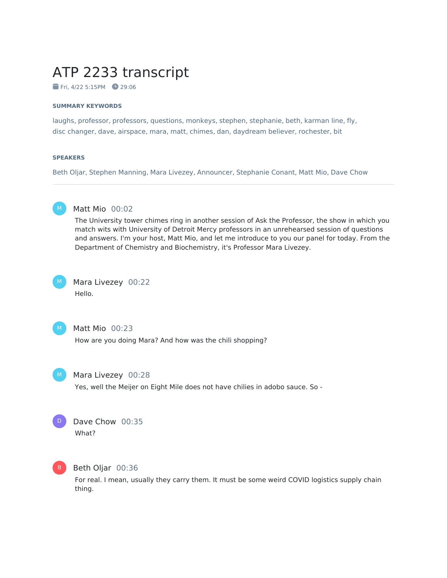# ATP 2233 transcript

Fri, 4/22 5:15PM **29:06** 

#### **SUMMARY KEYWORDS**

laughs, professor, professors, questions, monkeys, stephen, stephanie, beth, karman line, fly, disc changer, dave, airspace, mara, matt, chimes, dan, daydream believer, rochester, bit

#### **SPEAKERS**

Beth Oljar, Stephen Manning, Mara Livezey, Announcer, Stephanie Conant, Matt Mio, Dave Chow



### Matt Mio 00:02

The University tower chimes ring in another session of Ask the Professor, the show in which you match wits with University of Detroit Mercy professors in an unrehearsed session of questions and answers. I'm your host, Matt Mio, and let me introduce to you our panel for today. From the Department of Chemistry and Biochemistry, it's Professor Mara Livezey.



Mara Livezey 00:22 Hello.



### Matt Mio 00:23

How are you doing Mara? And how was the chili shopping?



#### Mara Livezey 00:28

Yes, well the Meijer on Eight Mile does not have chilies in adobo sauce. So -



### Dave Chow 00:35 What?



### Beth Oljar 00:36

For real. I mean, usually they carry them. It must be some weird COVID logistics supply chain thing.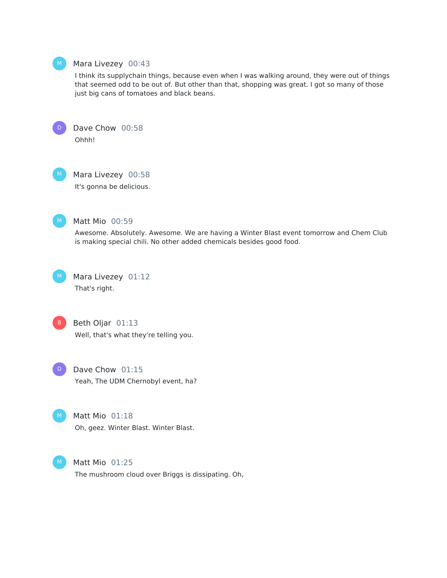

#### Mara Livezey 00:43

I think its supplychain things, because even when I was walking around, they were out of things that seemed odd to be out of. But other than that, shopping was great. I got so many of those just big cans of tomatoes and black beans.



Dave Chow 00:58 Ohhh!



Mara Livezey 00:58

It's gonna be delicious.



#### Matt Mio 00:59

Awesome. Absolutely. Awesome. We are having a Winter Blast event tomorrow and Chem Club is making special chili. No other added chemicals besides good food.



Beth Oljar 01:13 Well, that's what they're telling you.

Dave Chow 01:15 Yeah, The UDM Chernobyl event, ha? D

Matt Mio 01:18 Oh, geez. Winter Blast. Winter Blast.



Matt Mio 01:25

The mushroom cloud over Briggs is dissipating. Oh,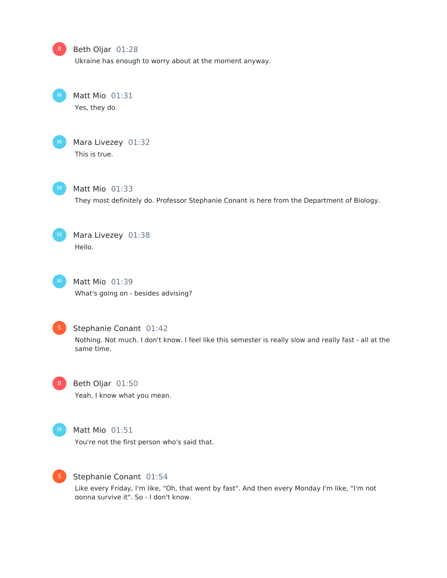### Beth Oljar 01:28

Ukraine has enough to worry about at the moment anyway.

Matt Mio 01:31 Yes, they do.



B

Mara Livezey 01:32 This is true.



Matt Mio 01:33 They most definitely do. Professor Stephanie Conant is here from the Department of Biology.



Mara Livezey 01:38 Hello.

Matt Mio 01:39 What's going on - besides advising?



### Stephanie Conant 01:42

Nothing. Not much. I don't know. I feel like this semester is really slow and really fast - all at the same time.



### Beth Oljar 01:50

Yeah, I know what you mean.



### Matt Mio 01:51

You're not the first person who's said that.



#### Stephanie Conant 01:54

Like every Friday, I'm like, "Oh, that went by fast". And then every Monday I'm like, "I'm not gonna survive it". So - I don't know.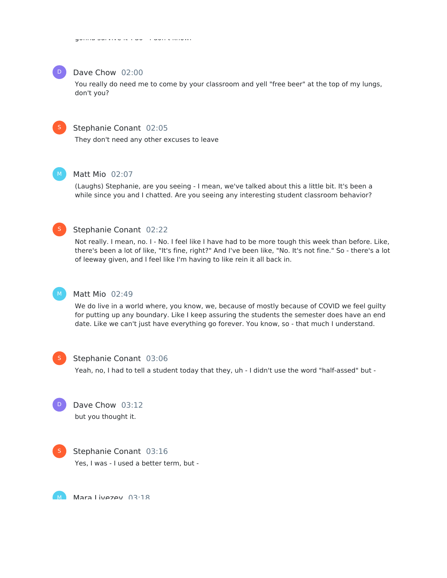

#### Dave Chow 02:00

You really do need me to come by your classroom and yell "free beer" at the top of my lungs, don't you?



#### Stephanie Conant 02:05

They don't need any other excuses to leave



### Matt Mio 02:07

(Laughs) Stephanie, are you seeing - I mean, we've talked about this a little bit. It's been a while since you and I chatted. Are you seeing any interesting student classroom behavior?



### Stephanie Conant 02:22

Not really. I mean, no. I - No. I feel like I have had to be more tough this week than before. Like, there's been a lot of like, "It's fine, right?" And I've been like, "No. It's not fine." So - there's a lot of leeway given, and I feel like I'm having to like rein it all back in.



### Matt Mio 02:49

We do live in a world where, you know, we, because of mostly because of COVID we feel guilty for putting up any boundary. Like I keep assuring the students the semester does have an end date. Like we can't just have everything go forever. You know, so - that much I understand.



#### Stephanie Conant 03:06

Yeah, no, I had to tell a student today that they, uh - I didn't use the word "half-assed" but -





### Stephanie Conant 03:16

Yes, I was - I used a better term, but -

Maraliwazaw N3·18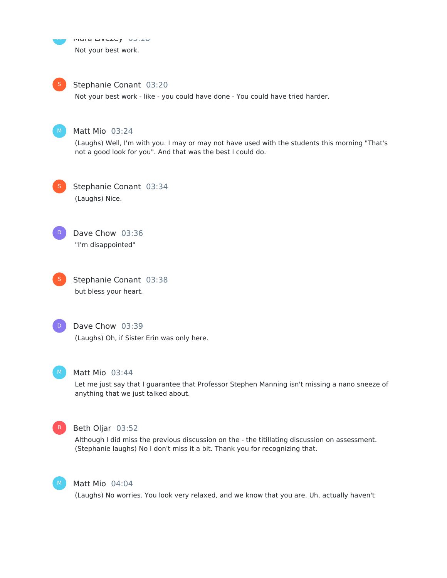Mara Livezey 03:18 Not your best work. M

#### Stephanie Conant 03:20 S

Not your best work - like - you could have done - You could have tried harder.



### Matt Mio 03:24

(Laughs) Well, I'm with you. I may or may not have used with the students this morning "That's not a good look for you". And that was the best I could do.

Stephanie Conant 03:34 (Laughs) Nice. S



Dave Chow 03:36 "I'm disappointed"





### Dave Chow 03:39

(Laughs) Oh, if Sister Erin was only here.



#### Matt Mio 03:44

Let me just say that I guarantee that Professor Stephen Manning isn't missing a nano sneeze of anything that we just talked about.



### Beth Oljar 03:52

Although I did miss the previous discussion on the - the titillating discussion on assessment. (Stephanie laughs) No I don't miss it a bit. Thank you for recognizing that.



### Matt Mio 04:04

(Laughs) No worries. You look very relaxed, and we know that you are. Uh, actually haven't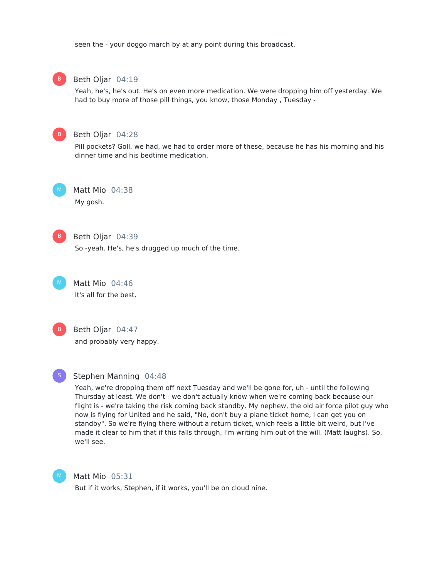seen the - your doggo march by at any point during this broadcast.



#### Beth Oljar 04:19

Yeah, he's, he's out. He's on even more medication. We were dropping him off yesterday. We had to buy more of those pill things, you know, those Monday , Tuesday -



#### Beth Oljar 04:28

Pill pockets? Goll, we had, we had to order more of these, because he has his morning and his dinner time and his bedtime medication.



Matt Mio 04:38 My gosh.



### Beth Oljar 04:39

So -yeah. He's, he's drugged up much of the time.



Matt Mio 04:46 It's all for the best.



### Beth Oljar 04:47

and probably very happy.



#### Stephen Manning 04:48

Yeah, we're dropping them off next Tuesday and we'll be gone for, uh - until the following Thursday at least. We don't - we don't actually know when we're coming back because our flight is - we're taking the risk coming back standby. My nephew, the old air force pilot guy who now is flying for United and he said, "No, don't buy a plane ticket home, I can get you on standby". So we're flying there without a return ticket, which feels a little bit weird, but I've made it clear to him that if this falls through, I'm writing him out of the will. (Matt laughs). So, we'll see.



### Matt Mio 05:31

But if it works, Stephen, if it works, you'll be on cloud nine.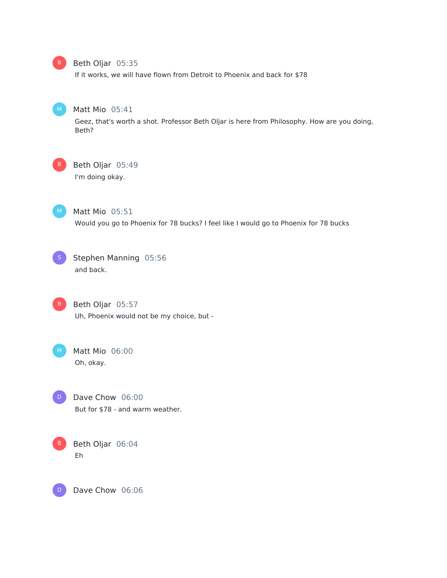

### Beth Oljar 05:35

If it works, we will have flown from Detroit to Phoenix and back for \$78



### Matt Mio 05:41

Geez, that's worth a shot. Professor Beth Oljar is here from Philosophy. How are you doing, Beth?

B

### Beth Oljar 05:49

I'm doing okay.



### Matt Mio 05:51 Would you go to Phoenix for 78 bucks? I feel like I would go to Phoenix for 78 bucks

Stephen Manning 05:56 and back.

Beth Oljar 05:57 Uh, Phoenix would not be my choice, but - B<sup></sup>

Matt Mio 06:00 Oh, okay.

Dave Chow 06:00 But for \$78 - and warm weather. D



Dave Chow 06:06 D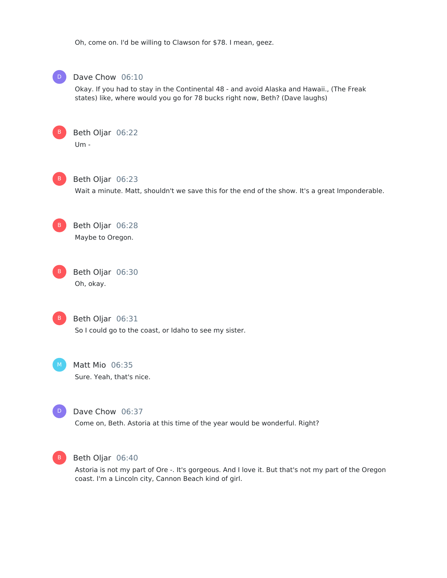Oh, come on. I'd be willing to Clawson for \$78. I mean, geez.



### Dave Chow 06:10

Okay. If you had to stay in the Continental 48 - and avoid Alaska and Hawaii., (The Freak states) like, where would you go for 78 bucks right now, Beth? (Dave laughs)





Beth Oljar 06:23

Wait a minute. Matt, shouldn't we save this for the end of the show. It's a great Imponderable.

Beth Oljar 06:28 Maybe to Oregon.

Beth Oljar 06:30 Oh, okay. B



Beth Oljar 06:31

So I could go to the coast, or Idaho to see my sister.

Matt Mio 06:35 Sure. Yeah, that's nice.

 $\mathbf{D}$ 

Dave Chow 06:37

Come on, Beth. Astoria at this time of the year would be wonderful. Right?



#### Beth Oljar 06:40

Astoria is not my part of Ore -. It's gorgeous. And I love it. But that's not my part of the Oregon coast. I'm a Lincoln city, Cannon Beach kind of girl.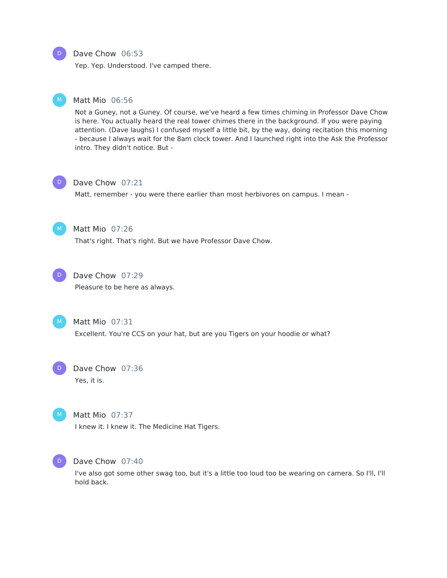#### Dave Chow 06:53

Yep. Yep. Understood. I've camped there.

### Matt Mio 06:56

Not a Guney, not a Guney. Of course, we've heard a few times chiming in Professor Dave Chow is here. You actually heard the real tower chimes there in the background. If you were paying attention. (Dave laughs) I confused myself a little bit, by the way, doing recitation this morning - because I always wait for the 8am clock tower. And I launched right into the Ask the Professor intro. They didn't notice. But -



#### Dave Chow 07:21

Matt, remember - you were there earlier than most herbivores on campus. I mean -



### Matt Mio 07:26

That's right. That's right. But we have Professor Dave Chow.



#### Dave Chow 07:29

Pleasure to be here as always.



### Matt Mio 07:31

Excellent. You're CCS on your hat, but are you Tigers on your hoodie or what?



### Matt Mio 07:37

I knew it. I knew it. The Medicine Hat Tigers.



### Dave Chow 07:40

I've also got some other swag too, but it's a little too loud too be wearing on camera. So I'll, I'll hold back.

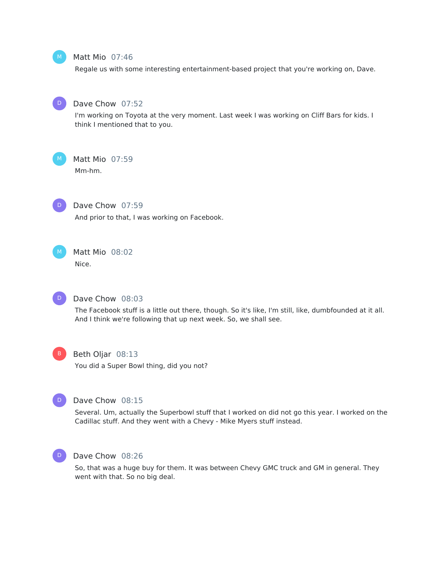

### Matt Mio 07:46

Regale us with some interesting entertainment-based project that you're working on, Dave.



### Dave Chow 07:52

I'm working on Toyota at the very moment. Last week I was working on Cliff Bars for kids. I think I mentioned that to you.



#### Matt Mio 07:59

Mm-hm.



### Dave Chow 07:59

And prior to that, I was working on Facebook.



## Matt Mio 08:02

Nice.



#### Dave Chow 08:03

The Facebook stuff is a little out there, though. So it's like, I'm still, like, dumbfounded at it all. And I think we're following that up next week. So, we shall see.



#### Beth Oljar 08:13

You did a Super Bowl thing, did you not?



### Dave Chow 08:15

Several. Um, actually the Superbowl stuff that I worked on did not go this year. I worked on the Cadillac stuff. And they went with a Chevy - Mike Myers stuff instead.



#### Dave Chow 08:26

So, that was a huge buy for them. It was between Chevy GMC truck and GM in general. They went with that. So no big deal.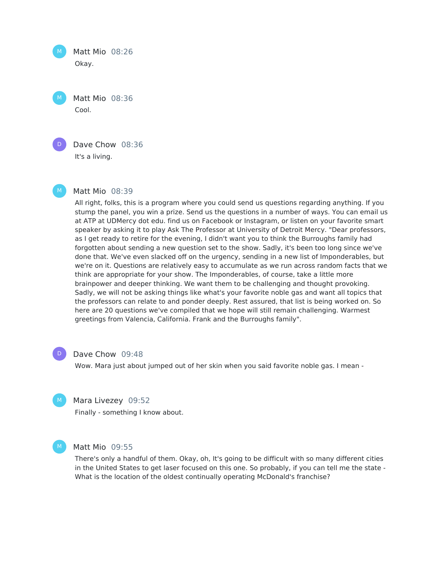Matt Mio 08:26 Okay.  $M_{\odot}$ 

Matt Mio 08:36 Cool.  $M_{\odot}$ 



Dave Chow 08:36 It's a living.



#### Matt Mio 08:39

All right, folks, this is a program where you could send us questions regarding anything. If you stump the panel, you win a prize. Send us the questions in a number of ways. You can email us at ATP at UDMercy dot edu. find us on Facebook or Instagram, or listen on your favorite smart speaker by asking it to play Ask The Professor at University of Detroit Mercy. "Dear professors, as I get ready to retire for the evening, I didn't want you to think the Burroughs family had forgotten about sending a new question set to the show. Sadly, it's been too long since we've done that. We've even slacked off on the urgency, sending in a new list of Imponderables, but we're on it. Questions are relatively easy to accumulate as we run across random facts that we think are appropriate for your show. The Imponderables, of course, take a little more brainpower and deeper thinking. We want them to be challenging and thought provoking. Sadly, we will not be asking things like what's your favorite noble gas and want all topics that the professors can relate to and ponder deeply. Rest assured, that list is being worked on. So here are 20 questions we've compiled that we hope will still remain challenging. Warmest greetings from Valencia, California. Frank and the Burroughs family".



#### Dave Chow 09:48

Wow. Mara just about jumped out of her skin when you said favorite noble gas. I mean -



#### Mara Livezey 09:52

Finally - something I know about.



#### Matt Mio 09:55

There's only a handful of them. Okay, oh, It's going to be difficult with so many different cities in the United States to get laser focused on this one. So probably, if you can tell me the state - What is the location of the oldest continually operating McDonald's franchise?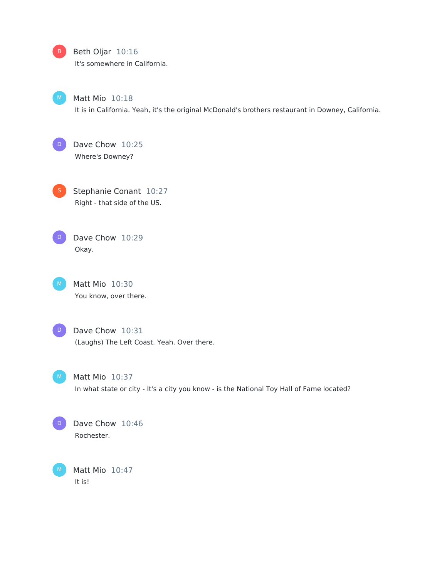### B Beth Oljar 10:16

It's somewhere in California.



 $M$  Matt Mio  $10:18$ 

It is in California. Yeah, it's the original McDonald's brothers restaurant in Downey, California.

Dave Chow 10:25 Where's Downey?  $\Box$ 

**S** Stephanie Conant 10:27 Right - that side of the US.

 $\Box$ 

Dave Chow 10:29 Okay.

 $M$  Matt Mio 10:30 You know, over there.



D Dave Chow 10:31 (Laughs) The Left Coast. Yeah. Over there.



 $M$  Matt Mio  $10:37$ In what state or city - It's a city you know - is the National Toy Hall of Fame located?



Matt Mio 10:47 It is!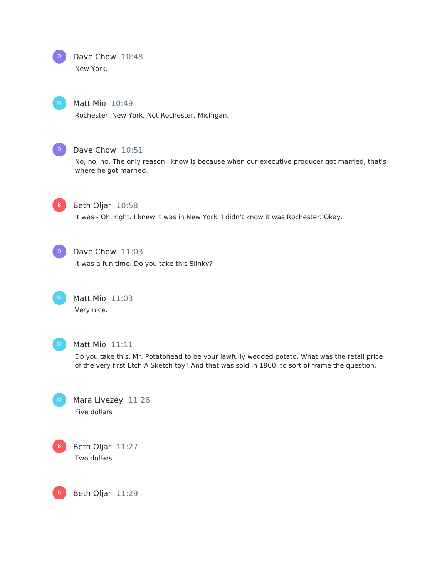# Dave Chow 10:48

New York.

## Matt Mio 10:49

Rochester, New York. Not Rochester, Michigan.



D

### Dave Chow 10:51

No, no, no. The only reason I know is because when our executive producer got married, that's where he got married.



### Beth Oljar 10:58

It was - Oh, right. I knew it was in New York. I didn't know it was Rochester. Okay.



### Dave Chow 11:03

It was a fun time. Do you take this Slinky?

Matt Mio 11:03 Very nice.



### Matt Mio 11:11

Do you take this, Mr. Potatohead to be your lawfully wedded potato. What was the retail price of the very first Etch A Sketch toy? And that was sold in 1960, to sort of frame the question.

Mara Livezey 11:26 Five dollars



Beth Oljar 11:29 B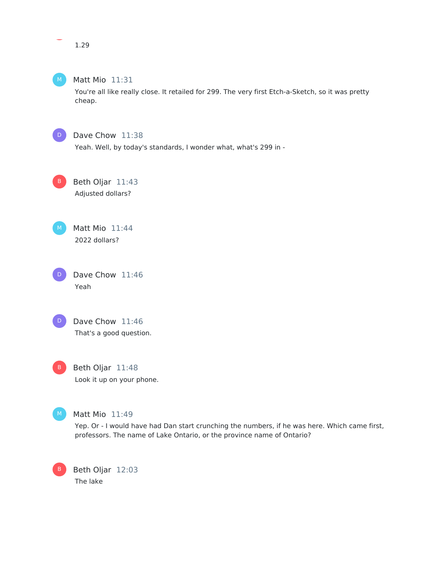

### Matt Mio 11:31

You're all like really close. It retailed for 299. The very first Etch-a-Sketch, so it was pretty cheap.



### Dave Chow 11:38

Yeah. Well, by today's standards, I wonder what, what's 299 in -

Beth Oljar 11:43 Adjusted dollars?



Dave Chow 11:46 Yeah D





### Matt Mio 11:49

Yep. Or - I would have had Dan start crunching the numbers, if he was here. Which came first, professors. The name of Lake Ontario, or the province name of Ontario?

Beth Oljar 12:03 The lake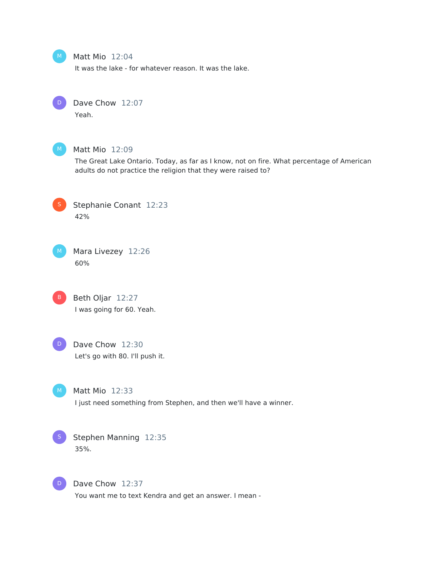### Matt Mio 12:04

It was the lake - for whatever reason. It was the lake.



 $M$ 

## Dave Chow 12:07

Yeah.



### Matt Mio 12:09

The Great Lake Ontario. Today, as far as I know, not on fire. What percentage of American adults do not practice the religion that they were raised to?



Stephanie Conant 12:23 42%



B Beth Oljar 12:27 I was going for 60. Yeah.



### D Dave Chow 12:30 Let's go with 80. I'll push it.



#### Matt Mio 12:33

I just need something from Stephen, and then we'll have a winner.



### Stephen Manning 12:35 35%.



Dave Chow 12:37

You want me to text Kendra and get an answer. I mean -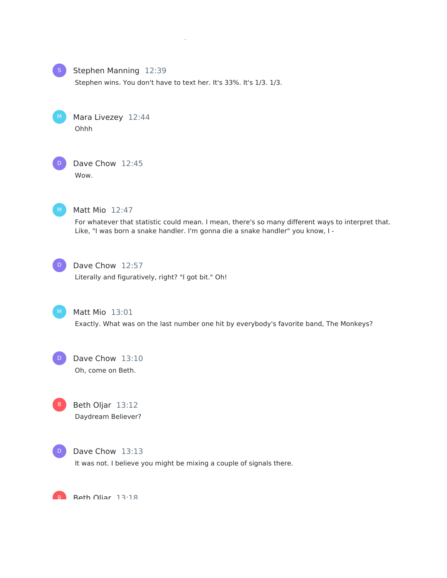

### Stephen Manning 12:39

Stephen wins. You don't have to text her. It's 33%. It's 1/3. 1/3.

You want me to text Kendra and get an answer. I mean -



D



### Matt Mio 12:47

For whatever that statistic could mean. I mean, there's so many different ways to interpret that. Like, "I was born a snake handler. I'm gonna die a snake handler" you know, I -



### Dave Chow 12:57

Literally and figuratively, right? "I got bit." Oh!



#### Matt Mio 13:01

Exactly. What was on the last number one hit by everybody's favorite band, The Monkeys?



### Dave Chow 13:10 Oh, come on Beth.

B Beth Oljar 13:12 Daydream Believer?



#### Dave Chow 13:13

It was not. I believe you might be mixing a couple of signals there.

B Roth Oliar 13:18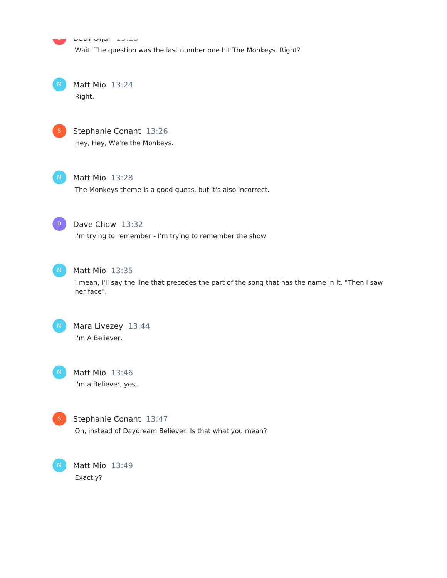r Douronjar 13:18 Wait. The question was the last number one hit The Monkeys. Right?

Matt Mio 13:24 Right.  $M_{\odot}$ 



B

Stephanie Conant 13:26 Hey, Hey, We're the Monkeys.



Matt Mio 13:28

The Monkeys theme is a good guess, but it's also incorrect.



### Dave Chow 13:32

I'm trying to remember - I'm trying to remember the show.



### Matt Mio 13:35

I mean, I'll say the line that precedes the part of the song that has the name in it. "Then I saw her face".



### Mara Livezey 13:44 I'm A Believer.

Matt Mio 13:46 I'm a Believer, yes.



M

Stephanie Conant 13:47 Oh, instead of Daydream Believer. Is that what you mean?

Matt Mio 13:49 Exactly?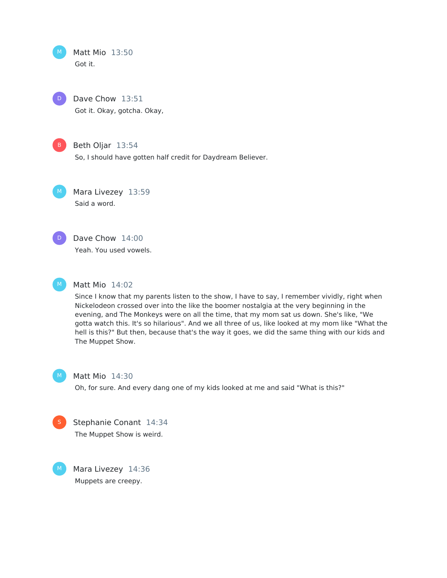Matt Mio 13:50 Got it. M

Dave Chow 13:51 Got it. Okay, gotcha. Okay,  $D$ 



### B Beth Oljar 13:54

So, I should have gotten half credit for Daydream Believer.

Mara Livezey 13:59 Said a word.  $M$ 



Dave Chow 14:00 Yeah. You used vowels.



### Matt Mio 14:02

Since I know that my parents listen to the show, I have to say, I remember vividly, right when Nickelodeon crossed over into the like the boomer nostalgia at the very beginning in the evening, and The Monkeys were on all the time, that my mom sat us down. She's like, "We gotta watch this. It's so hilarious". And we all three of us, like looked at my mom like "What the hell is this?" But then, because that's the way it goes, we did the same thing with our kids and The Muppet Show.



### Matt Mio 14:30

Oh, for sure. And every dang one of my kids looked at me and said "What is this?"



Stephanie Conant 14:34 The Muppet Show is weird.

Mara Livezey 14:36 Muppets are creepy.  $M$ )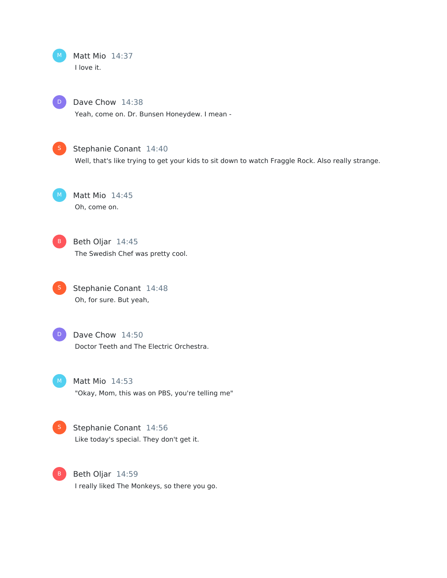Matt Mio 14:37 I love it.

Dave Chow 14:38 Yeah, come on. Dr. Bunsen Honeydew. I mean -



 $D$ 

### Stephanie Conant 14:40

Well, that's like trying to get your kids to sit down to watch Fraggle Rock. Also really strange.

Matt Mio 14:45 Oh, come on.

 $\left( \begin{array}{c} 0 \end{array} \right)$ 

B Beth Oljar 14:45 The Swedish Chef was pretty cool.

**S** Stephanie Conant 14:48 Oh, for sure. But yeah,

Dave Chow 14:50 Doctor Teeth and The Electric Orchestra.

 $M$  Matt Mio 14:53 "Okay, Mom, this was on PBS, you're telling me"



Stephanie Conant 14:56 Like today's special. They don't get it.

Beth Oljar 14:59 I really liked The Monkeys, so there you go. B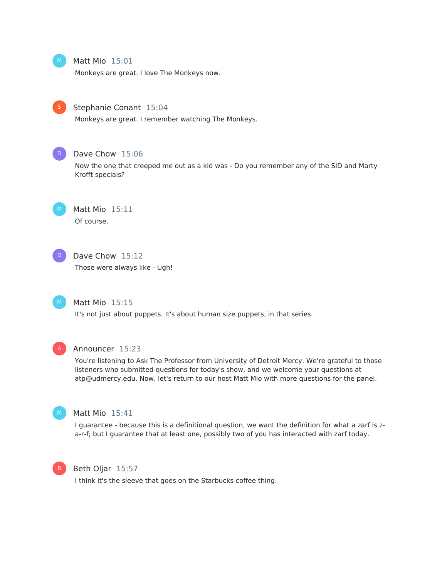$M_{\odot}$ 

### Matt Mio 15:01

Monkeys are great. I love The Monkeys now.



### Stephanie Conant 15:04

Monkeys are great. I remember watching The Monkeys.



### Dave Chow 15:06

Now the one that creeped me out as a kid was - Do you remember any of the SID and Marty Krofft specials?

M

Matt Mio 15:11 Of course.



### Dave Chow 15:12

Those were always like - Ugh!



### Matt Mio 15:15

It's not just about puppets. It's about human size puppets, in that series.



#### Announcer 15:23

You're listening to Ask The Professor from University of Detroit Mercy. We're grateful to those listeners who submitted questions for today's show, and we welcome your questions at atp@udmercy.edu. Now, let's return to our host Matt Mio with more questions for the panel.



### Matt Mio 15:41

I guarantee - because this is a definitional question, we want the definition for what a zarf is za-r-f; but I guarantee that at least one, possibly two of you has interacted with zarf today.



#### Beth Oljar 15:57

I think it's the sleeve that goes on the Starbucks coffee thing.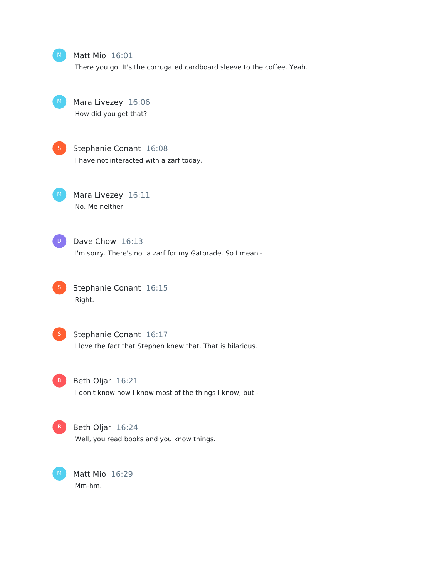### Matt Mio 16:01

There you go. It's the corrugated cardboard sleeve to the coffee. Yeah.

Mara Livezey 16:06 How did you get that?



Stephanie Conant 16:08

I have not interacted with a zarf today.

M Mara Livezey 16:11 No. Me neither.



D Dave Chow 16:13

I'm sorry. There's not a zarf for my Gatorade. So I mean -



Stephanie Conant 16:15 Right.



#### **S** Stephanie Conant 16:17

I love the fact that Stephen knew that. That is hilarious.



B Beth Oljar 16:21

I don't know how I know most of the things I know, but -



#### B Beth Oljar 16:24

Well, you read books and you know things.

Matt Mio 16:29 Mm-hm.  $M$ )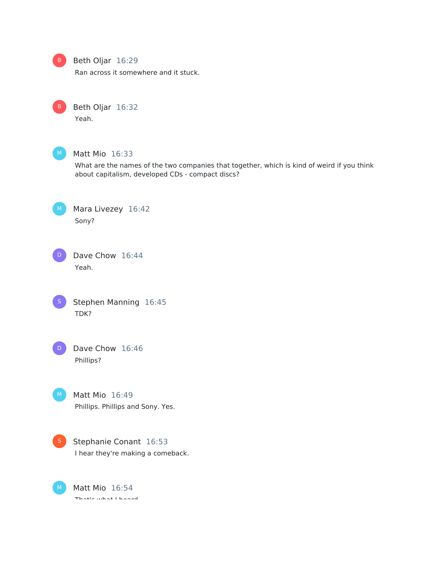

### Beth Oljar 16:29

Ran across it somewhere and it stuck.



Yeah.



### Matt Mio 16:33

What are the names of the two companies that together, which is kind of weird if you think about capitalism, developed CDs - compact discs?

Mara Livezey 16:42 Sony?



Dave Chow 16:44 Yeah.





Dave Chow 16:46 Phillips?

Matt Mio 16:49 Phillips. Phillips and Sony. Yes.

Stephanie Conant 16:53 I hear they're making a comeback.

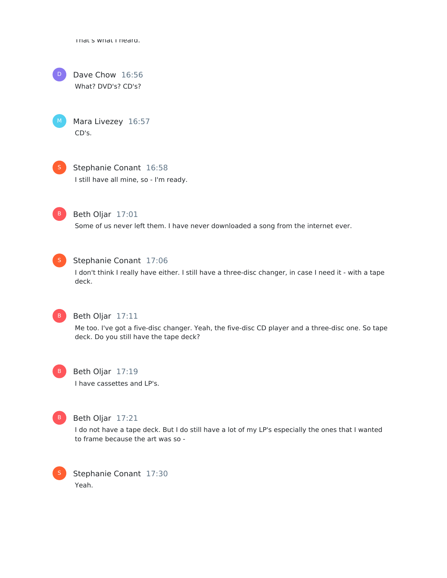That's what I heard.



Dave Chow 16:56 What? DVD's? CD's?

Mara Livezey 16:57 CD's.



Stephanie Conant 16:58 I still have all mine, so - I'm ready.



Beth Oljar 17:01 Some of us never left them. I have never downloaded a song from the internet ever.



### Stephanie Conant 17:06

I don't think I really have either. I still have a three-disc changer, in case I need it - with a tape deck.



### Beth Oljar 17:11

Me too. I've got a five-disc changer. Yeah, the five-disc CD player and a three-disc one. So tape deck. Do you still have the tape deck?

Beth Oljar 17:19 I have cassettes and LP's.



### Beth Oljar 17:21

I do not have a tape deck. But I do still have a lot of my LP's especially the ones that I wanted to frame because the art was so -

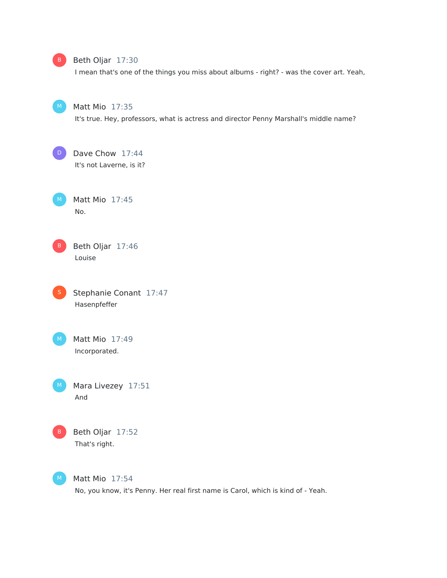

### Beth Oljar 17:30

I mean that's one of the things you miss about albums - right? - was the cover art. Yeah,

Matt Mio 17:35

It's true. Hey, professors, what is actress and director Penny Marshall's middle name?

Dave Chow 17:44 It's not Laverne, is it? D

Matt Mio 17:45 No.

Beth Oljar 17:46 Louise B

Stephanie Conant 17:47 Hasenpfeffer  $\overline{\phantom{a}}$ 

Matt Mio 17:49 Incorporated.

Mara Livezey 17:51

And

Beth Oljar 17:52 That's right. B

M

Matt Mio 17:54 No, you know, it's Penny. Her real first name is Carol, which is kind of - Yeah.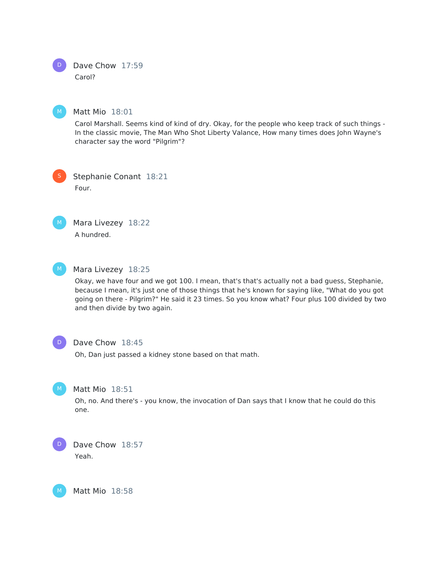Dave Chow 17:59 Carol?

Matt Mio 18:01

Carol Marshall. Seems kind of kind of dry. Okay, for the people who keep track of such things - In the classic movie, The Man Who Shot Liberty Valance, How many times does John Wayne's character say the word "Pilgrim"?

Stephanie Conant 18:21 Four. S



Mara Livezey 18:22 A hundred.



### Mara Livezey 18:25

Okay, we have four and we got 100. I mean, that's that's actually not a bad guess, Stephanie, because I mean, it's just one of those things that he's known for saying like, "What do you got going on there - Pilgrim?" He said it 23 times. So you know what? Four plus 100 divided by two and then divide by two again.



### Dave Chow 18:45

Oh, Dan just passed a kidney stone based on that math.



M

### Matt Mio 18:51

Oh, no. And there's - you know, the invocation of Dan says that I know that he could do this one.

Dave Chow 18:57 Yeah. D

Matt Mio 18:58



M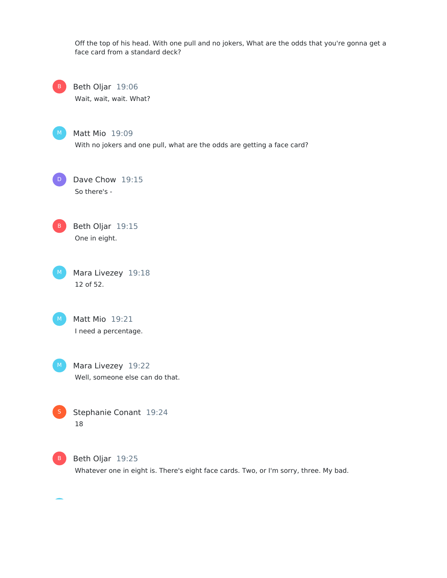Off the top of his head. With one pull and no jokers, What are the odds that you're gonna get a face card from a standard deck?

Beth Oljar 19:06 Wait, wait, wait. What?  $-B$ 



Matt Mio 19:09

With no jokers and one pull, what are the odds are getting a face card?

Dave Chow 19:15 So there's -  $D$ 

B Beth Oljar 19:15 One in eight.

Mara Livezey 19:18 12 of 52.  $M$ 

Matt Mio 19:21 I need a percentage.  $M$ )

M Mara Livezey 19:22 Well, someone else can do that.

Stephanie Conant 19:24 18



B Beth Oljar 19:25 Whatever one in eight is. There's eight face cards. Two, or I'm sorry, three. My bad.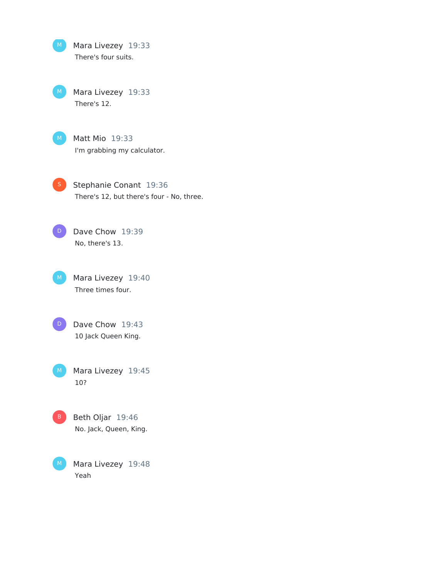Mara Livezey 19:33 There's four suits.

Mara Livezey 19:33 There's 12.



Matt Mio 19:33 I'm grabbing my calculator.

Stephanie Conant 19:36 There's 12, but there's four - No, three.

Dave Chow 19:39 No, there's 13. D

Mara Livezey 19:40 Three times four.



Mara Livezey 19:45 10? M



Mara Livezey 19:48 Yeah M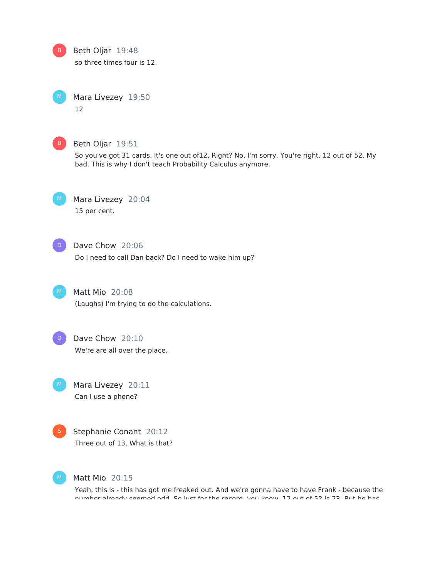B

Beth Oljar 19:48

so three times four is 12.

Mara Livezey 19:50 12



### Beth Oljar 19:51

So you've got 31 cards. It's one out of12, Right? No, I'm sorry. You're right. 12 out of 52. My bad. This is why I don't teach Probability Calculus anymore.



## Mara Livezey 20:04

15 per cent.



### Dave Chow 20:06

Do I need to call Dan back? Do I need to wake him up?



Matt Mio 20:08

(Laughs) I'm trying to do the calculations.



### Dave Chow 20:10

We're are all over the place.

Mara Livezey 20:11 Can I use a phone?



Stephanie Conant 20:12 Three out of 13. What is that?



### Matt Mio 20:15

Yeah, this is - this has got me freaked out. And we're gonna have to have Frank - because the number already seemed odd. So just for the record, you know, 12 out of 52 is 23. But he has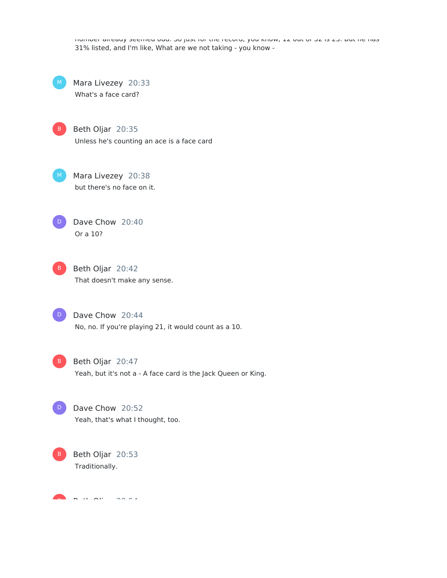number already seemed odd. So just for the record, you know, 12 out of 52 is 23. But he has 31% listed, and I'm like, What are we not taking - you know -

Mara Livezey 20:33 What's a face card?  $M$ )

B Beth Oljar 20:35 Unless he's counting an ace is a face card

M Mara Livezey 20:38 but there's no face on it.

Dave Chow 20:40 Or a 10? D



B Beth Oljar 20:42 That doesn't make any sense.

Dave Chow 20:44 No, no. If you're playing 21, it would count as a 10.  $D$ 

 $\vert$ D

B Beth Oljar 20:47 Yeah, but it's not a - A face card is the Jack Queen or King.

Dave Chow 20:52 Yeah, that's what I thought, too.



 $\mathbf{B}$   $\mathbf{B}$   $\mathbf{B}$   $\mathbf{B}$   $\mathbf{B}$   $\mathbf{B}$   $\mathbf{B}$   $\mathbf{B}$   $\mathbf{B}$   $\mathbf{B}$   $\mathbf{B}$   $\mathbf{B}$   $\mathbf{B}$   $\mathbf{B}$   $\mathbf{B}$   $\mathbf{B}$   $\mathbf{B}$   $\mathbf{B}$   $\mathbf{B}$   $\mathbf{B}$   $\mathbf{B}$   $\mathbf{B}$   $\mathbf{B}$   $\mathbf{B}$   $\mathbf{$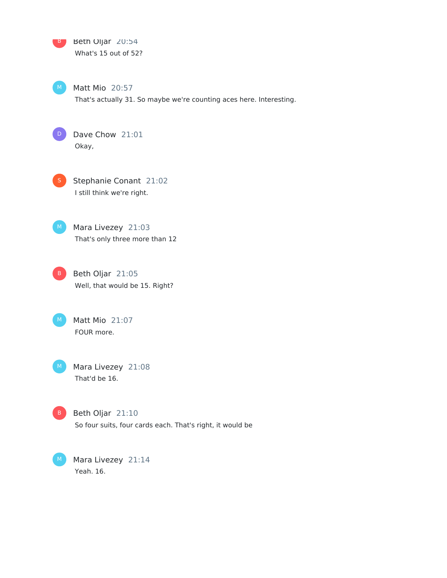B Beth Oljar 20:54 What's 15 out of 52?

 $M$  Matt Mio 20:57 That's actually 31. So maybe we're counting aces here. Interesting.



D Dave Chow 21:01 Okay,

**S** Stephanie Conant 21:02 I still think we're right.

M Mara Livezey 21:03 That's only three more than 12

B Beth Oljar 21:05 Well, that would be 15. Right?

Matt Mio 21:07 FOUR more.  $M$ 

Mara Livezey 21:08 That'd be 16.  $M$ 



B Beth Oljar 21:10 So four suits, four cards each. That's right, it would be

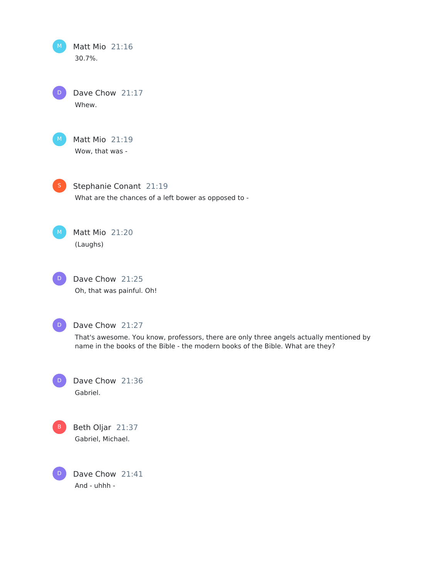Matt Mio 21:16 30.7%.  $M_{\odot}$ 

Dave Chow 21:17 Whew. D



Matt Mio 21:19 Wow, that was -



Stephanie Conant 21:19 What are the chances of a left bower as opposed to -



Matt Mio 21:20 (Laughs)

Dave Chow 21:25 Oh, that was painful. Oh! D



Dave Chow 21:27

That's awesome. You know, professors, there are only three angels actually mentioned by name in the books of the Bible - the modern books of the Bible. What are they?

Dave Chow 21:36 Gabriel.  $\left( \begin{array}{c} 0 \end{array} \right)$ 



Beth Oljar 21:37 Gabriel, Michael.

Dave Chow 21:41 And - uhhh -  $\bigcap$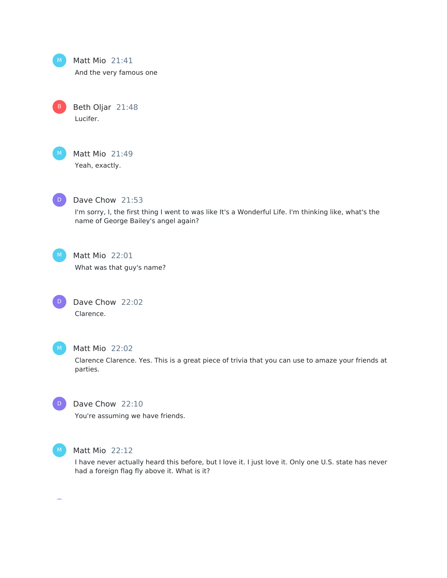

B

Matt Mio 21:41

And the very famous one

Beth Oljar 21:48 Lucifer.

Matt Mio 21:49 Yeah, exactly.



#### Dave Chow 21:53

I'm sorry, I, the first thing I went to was like It's a Wonderful Life. I'm thinking like, what's the name of George Bailey's angel again?



### Matt Mio 22:01

What was that guy's name?





#### Matt Mio 22:02

Clarence Clarence. Yes. This is a great piece of trivia that you can use to amaze your friends at parties.



### Dave Chow 22:10

You're assuming we have friends.



#### Matt Mio 22:12

I have never actually heard this before, but I love it. I just love it. Only one U.S. state has never had a foreign flag fly above it. What is it?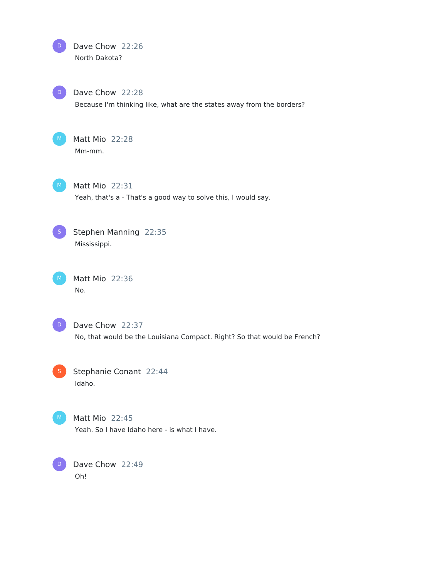

D

Dave Chow 22:28 Because I'm thinking like, what are the states away from the borders?



Matt Mio 22:28 Mm-mm.



Matt Mio 22:31 Yeah, that's a - That's a good way to solve this, I would say.



Stephen Manning 22:35 Mississippi.

Matt Mio 22:36 No.



Dave Chow 22:37 No, that would be the Louisiana Compact. Right? So that would be French?

Stephanie Conant 22:44 Idaho. S



Matt Mio 22:45

Yeah. So I have Idaho here - is what I have.

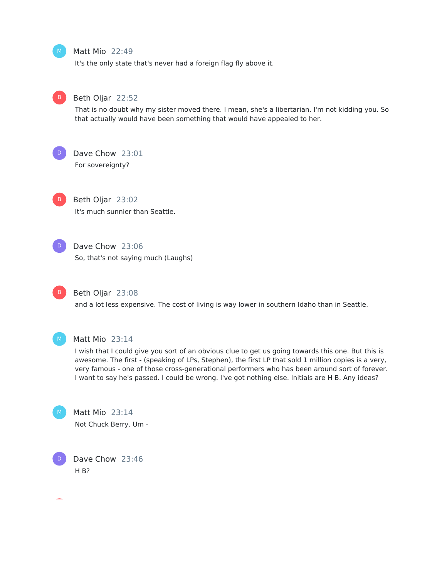### Matt Mio 22:49

It's the only state that's never had a foreign flag fly above it.



 $M_{\odot}$ 

#### Beth Oljar 22:52

That is no doubt why my sister moved there. I mean, she's a libertarian. I'm not kidding you. So that actually would have been something that would have appealed to her.



### Dave Chow 23:01

For sovereignty?



### Beth Oljar 23:02

It's much sunnier than Seattle.



### Dave Chow 23:06

So, that's not saying much (Laughs)



### Beth Oljar 23:08

and a lot less expensive. The cost of living is way lower in southern Idaho than in Seattle.



### Matt Mio 23:14

I wish that I could give you sort of an obvious clue to get us going towards this one. But this is awesome. The first - (speaking of LPs, Stephen), the first LP that sold 1 million copies is a very, very famous - one of those cross-generational performers who has been around sort of forever. I want to say he's passed. I could be wrong. I've got nothing else. Initials are H B. Any ideas?



D

### Matt Mio 23:14 Not Chuck Berry. Um -

Dave Chow 23:46 H B?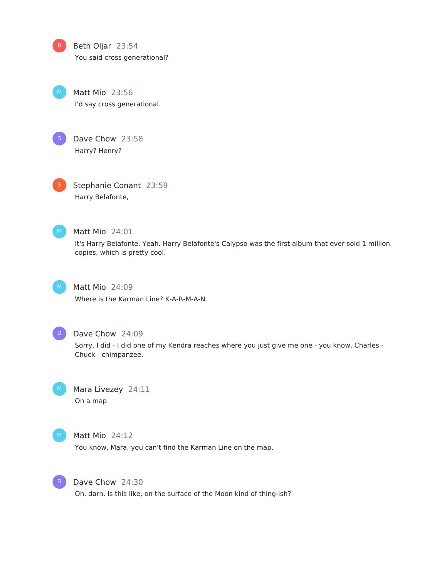Beth Oljar 23:54 You said cross generational?

Matt Mio 23:56 I'd say cross generational.



B

Dave Chow 23:58 Harry? Henry?

S

Stephanie Conant 23:59 Harry Belafonte,



### Matt Mio 24:01

It's Harry Belafonte. Yeah. Harry Belafonte's Calypso was the first album that ever sold 1 million copies, which is pretty cool.



### Matt Mio 24:09

Where is the Karman Line? K-A-R-M-A-N.



### Dave Chow 24:09

Sorry, I did - I did one of my Kendra reaches where you just give me one - you know, Charles - Chuck - chimpanzee.



Mara Livezey 24:11





### Matt Mio 24:12

You know, Mara, you can't find the Karman Line on the map.



### Dave Chow 24:30

Oh, darn. Is this like, on the surface of the Moon kind of thing-ish?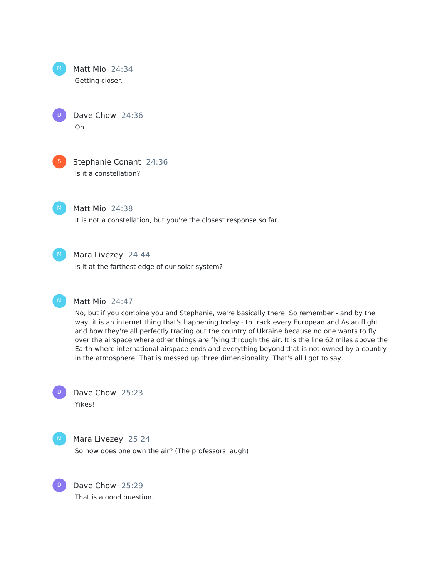

Dave Chow 24:36 Oh



D

Stephanie Conant 24:36 Is it a constellation?



Matt Mio 24:38

It is not a constellation, but you're the closest response so far.



### Mara Livezey 24:44

Is it at the farthest edge of our solar system?



### Matt Mio 24:47

No, but if you combine you and Stephanie, we're basically there. So remember - and by the way, it is an internet thing that's happening today - to track every European and Asian flight and how they're all perfectly tracing out the country of Ukraine because no one wants to fly over the airspace where other things are flying through the air. It is the line 62 miles above the Earth where international airspace ends and everything beyond that is not owned by a country in the atmosphere. That is messed up three dimensionality. That's all I got to say.



Yikes!



D

#### Mara Livezey 25:24

So how does one own the air? (The professors laugh)



Dave Chow 25:29

That is a good question.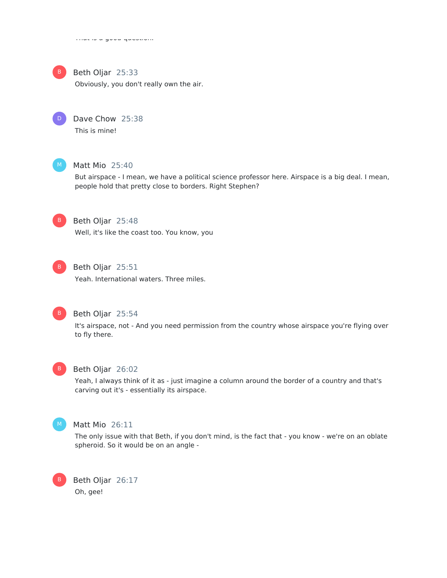

### Beth Oljar 25:33

Obviously, you don't really own the air.



Dave Chow 25:38

This is mine!



### Matt Mio 25:40

But airspace - I mean, we have a political science professor here. Airspace is a big deal. I mean, people hold that pretty close to borders. Right Stephen?



Beth Oljar 25:48

Well, it's like the coast too. You know, you



### B Beth Oljar 25:51

Yeah. International waters. Three miles.



### Beth Oljar 25:54

It's airspace, not - And you need permission from the country whose airspace you're flying over to fly there.



#### Beth Oljar 26:02

Yeah, I always think of it as - just imagine a column around the border of a country and that's carving out it's - essentially its airspace.



B

#### Matt Mio 26:11

The only issue with that Beth, if you don't mind, is the fact that - you know - we're on an oblate spheroid. So it would be on an angle -

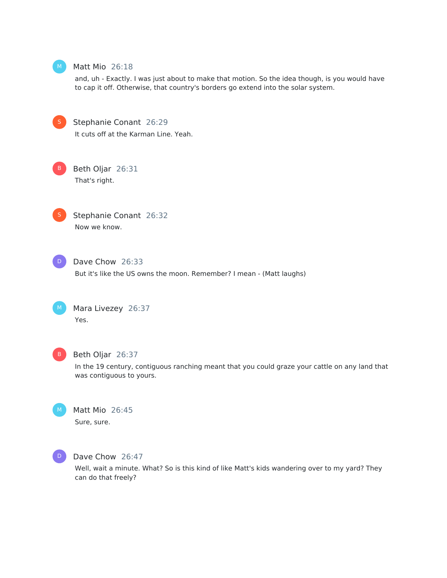

### Matt Mio 26:18

and, uh - Exactly. I was just about to make that motion. So the idea though, is you would have to cap it off. Otherwise, that country's borders go extend into the solar system.

Stephanie Conant 26:29 It cuts off at the Karman Line. Yeah.



Beth Oljar 26:31 That's right.



Stephanie Conant 26:32 Now we know.



Dave Chow 26:33 But it's like the US owns the moon. Remember? I mean - (Matt laughs)



Mara Livezey 26:37 Yes.



### Beth Oljar 26:37

In the 19 century, contiguous ranching meant that you could graze your cattle on any land that was contiguous to yours.



Matt Mio 26:45 Sure, sure.



#### Dave Chow 26:47

Well, wait a minute. What? So is this kind of like Matt's kids wandering over to my yard? They can do that freely?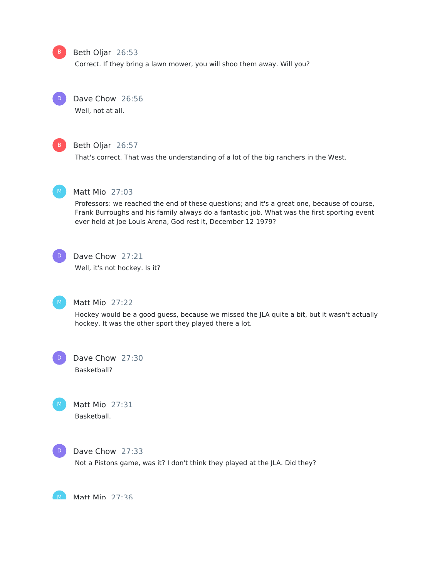### B Beth Oljar 26:53

Correct. If they bring a lawn mower, you will shoo them away. Will you?



### Dave Chow 26:56

Well, not at all.



### Beth Oljar 26:57

That's correct. That was the understanding of a lot of the big ranchers in the West.



### Matt Mio 27:03

Professors: we reached the end of these questions; and it's a great one, because of course, Frank Burroughs and his family always do a fantastic job. What was the first sporting event ever held at Joe Louis Arena, God rest it, December 12 1979?



### Dave Chow 27:21

Well, it's not hockey. Is it?



### Matt Mio 27:22

Hockey would be a good guess, because we missed the JLA quite a bit, but it wasn't actually hockey. It was the other sport they played there a lot.

Dave Chow 27:30 Basketball? D

Matt Mio 27:31 Basketball.



#### Dave Chow 27:33

Not a Pistons game, was it? I don't think they played at the JLA. Did they?

M Matt Min 27:36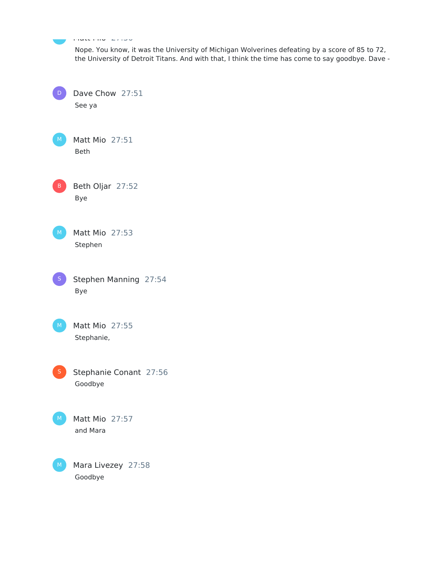|              | $\frac{1}{2} \left( \frac{1}{2} \left( \frac{1}{2} \left( \frac{1}{2} \left( \frac{1}{2} \left( \frac{1}{2} \left( \frac{1}{2} \left( \frac{1}{2} \left( \frac{1}{2} \right) \right) \right) \right) - \frac{1}{2} \left( \frac{1}{2} \left( \frac{1}{2} \left( \frac{1}{2} \left( \frac{1}{2} \right) \right) \right) \right) \right) \right) - \frac{1}{2} \left( \frac{1}{2} \left( \frac{1}{2} \left( \frac{1}{2} \left( \frac{1}{2} \left( \frac{1$ |
|--------------|----------------------------------------------------------------------------------------------------------------------------------------------------------------------------------------------------------------------------------------------------------------------------------------------------------------------------------------------------------------------------------------------------------------------------------------------------------|
|              | Nope. You know, it was the University of Michigan Wolverines defeating by a score of 85 to 72,<br>the University of Detroit Titans. And with that, I think the time has come to say goodbye. Dave -                                                                                                                                                                                                                                                      |
|              | Dave Chow 27:51<br>See ya                                                                                                                                                                                                                                                                                                                                                                                                                                |
| M            | Matt Mio 27:51<br>Beth                                                                                                                                                                                                                                                                                                                                                                                                                                   |
| B.           | Beth Oljar 27:52<br><b>Bye</b>                                                                                                                                                                                                                                                                                                                                                                                                                           |
| M.           | Matt Mio 27:53<br>Stephen                                                                                                                                                                                                                                                                                                                                                                                                                                |
|              | Stephen Manning 27:54<br>Bye                                                                                                                                                                                                                                                                                                                                                                                                                             |
| M.           | Matt Mio 27:55<br>Stephanie,                                                                                                                                                                                                                                                                                                                                                                                                                             |
|              | Stephanie Conant 27:56<br>Goodbye                                                                                                                                                                                                                                                                                                                                                                                                                        |
| M.           | Matt Mio 27:57<br>and Mara                                                                                                                                                                                                                                                                                                                                                                                                                               |
| <sub>M</sub> | Mara Livezey 27:58<br>Goodbye                                                                                                                                                                                                                                                                                                                                                                                                                            |